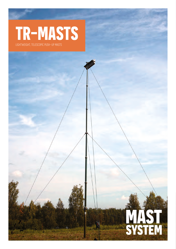## **TR-MASTS** lightweight, telescopic push-up masts

NAST<br>SYSTEM